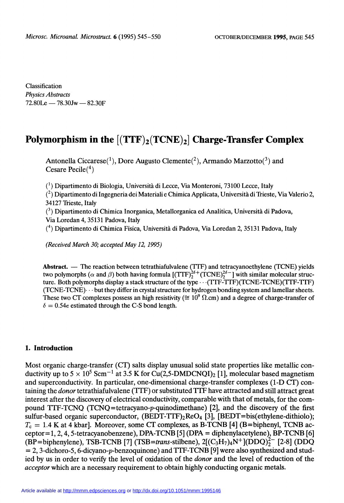Classification Physics Abstracts  $72.80$ Le  $-78.30$ Jw  $-82.30$ F

# Polymorphism in the  $[(TTF)_2(TCNE)_2]$  Charge-Transfer Complex

Antonella Ciccarese<sup>(1</sup>), Dore Augusto Clemente<sup>(2</sup>), Armando Marzotto<sup>(3</sup>) and Cesare Pecile $(4)$ 

 $(1)$  Dipartimento di Biologia, Università di Lecce, Via Monteroni, 73100 Lecce, Italy

 $\binom{2}{1}$  Dipartimento di Ingegneria dei Materiali e Chimica Applicata, Università di Trieste, Via Valerio 2, 34127 Trieste, Italy

 $(3)$  Dipartimento di Chimica Inorganica, Metallorganica ed Analitica, Università di Padova, Via Loredan 4, 35131 Padova, Italy

(4) Dipartimento di Chimica Fisica, Università di Padova, Via Loredan 2, 35131 Padova, Italy

(Received March 30; accepted May 12, 1995)

Abstract.  $\sim$  The reaction between tetrathiafulvalene (TTF) and tetracyanoethylene (TCNE) yields two polymorphs ( $\alpha$  and  $\beta$ ) both having formula  $[(TTF)_{2}^{26+}(TCNE)_{2}^{26-}]$  with similar molecular structure. Both polymorphs display a stack structure of the type··· (TTF-TTF)(TCNE-TCNE)(TTF-TTF) (TCNE-TCNE)··· but they differ in crystal structure for hydrogen bonding system and lamellar sheets. These two CT complexes possess an high resistivity ( $\approx 10^9 \Omega$  cm) and a degree of charge-transfer of  $\delta = 0.54e$  estimated through the C-S bond length.

### 1. Introduction

Most organic charge-transfer (CT) salts display unusual solid state properties like metallic conductivity up to  $5 \times 10^5$  Scm<sup>-1</sup> at 3.5 K for Cu(2,5-DMDCNQI)<sub>2</sub> [1], molecular based magnetism and superconductivity. In particular, one-dimensional charge-transfer complexes (1-D CT) containing the donor tetrathiafulvalene (TTF) or substituted TTF have attracted and still attract great interest after the discovery of electrical conductivity, comparable with that of metals, for the compound TTF-TCNQ (TCNQ=tetracyano-p-quinodimethane) [2], and the discovery of the first sulfur-based organic superconductor,  $(BEDT-TTF)_{2}ReO_{4}$  [3],  $[BEDT=bis(ethylene-dithiolo);$  $T_c = 1.4$  K at 4 kbar]. Moreover, some CT complexes, as B-TCNB [4] (B=biphenyl, TCNB acceptor=1, 2, 4, 5-tetracyanobenzene), DPA-TCNB [5] (DPA = diphenylacetylene), BP-TCNB [6] (BP=biphenylene), TSB-TCNB [7] (TSB=trans-stilbene),  $2[(C_3H_7)_4N^+](DDQ)_2^{2-}$  [2-8] (DDQ  $= 2, 3$ -dichoro-5, 6-dicyano-p-benzoquinone) and TTF-TCNB [9] were also synthesized and studied by us in order to verify the level of oxidation of the donor and the level of reduction of the acceptor which are a necessary requirement to obtain highly conducting organic metals.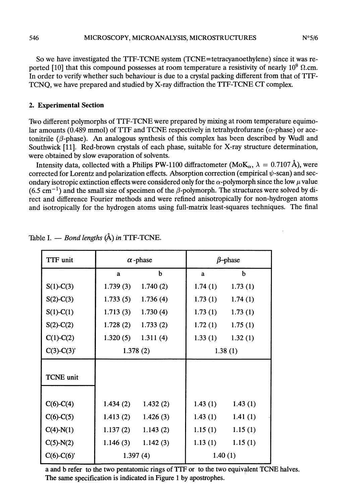So we have investigated the TTF-TCNE system (TCNE=tetracyanoethylene) since it was reported [10] that this compound possesses at room temperature a resistivity of nearly  $10^9$   $\Omega$ .cm. In order to verify whether such behaviour is due to a crystal packing different from that of TTF-TCNQ, we have prepared and studied by X-ray diffraction the TTF-TCNE CT complex.

## 2. Experimental Section

Two different polymorphs of TTF-TCNE were prepared by mixing at room temperature equimolar amounts (0.489 mmol) of TTF and TCNE respectively in tetrahydrofurane ( $\alpha$ -phase) or acetonitrile ( $\beta$ -phase). An analogous synthesis of this complex has been described by Wudl and Southwick [11]. Red-brown crystals of each phase, suitable for X-ray structure determination, were obtained by slow evaporation of solvents.

Intensity data, collected with a Philips PW-1100 diffractometer (MoK<sub> $\alpha$ </sub>,  $\lambda = 0.7107 \text{ Å}$ ), were corrected for Lorentz and polarization effects. Absorption correction (empirical  $\psi$ -scan) and secondary isotropic extinction effects were considered only for the  $\alpha$ -polymorph since the low  $\mu$  value  $(6.5 \text{ cm}^{-1})$  and the small size of specimen of the  $\beta$ -polymorph. The structures were solved by direct and difference Fourier methods and were refined anisotropically for non-hydrogen atoms and isotropically for the hydrogen atoms using full-matrix least-squares techniques. The final

| TTF unit         | $\alpha$ -phase |          | $\beta$ -phase |         |
|------------------|-----------------|----------|----------------|---------|
|                  | a               | b        | a              | b       |
| $S(1)-C(3)$      | 1.739(3)        | 1.740(2) | 1.74(1)        | 1.73(1) |
| $S(2)$ -C(3)     | 1.733(5)        | 1.736(4) | 1.73(1)        | 1.74(1) |
| $S(1)-C(1)$      | 1.713(3)        | 1.730(4) | 1.73(1)        | 1.73(1) |
| $S(2)-C(2)$      | 1.728(2)        | 1.733(2) | 1.72(1)        | 1.75(1) |
| $C(1)-C(2)$      | 1.320(5)        | 1.311(4) | 1.33(1)        | 1.32(1) |
| $C(3)-C(3)'$     | 1.378(2)        |          | 1.38(1)        |         |
|                  |                 |          |                |         |
| <b>TCNE</b> unit |                 |          |                |         |
|                  |                 |          |                |         |
| $C(6)-C(4)$      | 1.434(2)        | 1.432(2) | 1.43(1)        | 1.43(1) |
| $C(6)-C(5)$      | 1.413(2)        | 1.426(3) | 1.43(1)        | 1.41(1) |
| $C(4)-N(1)$      | 1.137(2)        | 1.143(2) | 1.15(1)        | 1.15(1) |
| $C(5)-N(2)$      | 1.146(3)        | 1.142(3) | 1.13(1)        | 1.15(1) |
| $C(6)-C(6)'$     | 1.397(4)        |          | 1.40(1)        |         |

Table I.  $-$  Bond lengths ( $\AA$ ) in TTF-TCNE.

a and b refer to the two pentatomic rings of TTF or to the two équivalent TCNE halves. The same specification is indicated in Figure 1 by apostrophes.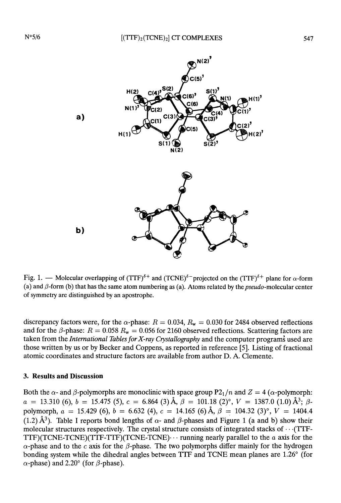

Fig. 1. — Molecular overlapping of  $(TTF)^{\delta+}$  and  $(TCNE)^{\delta-}$  projected on the  $(TTF)^{\delta+}$  plane for  $\alpha$ -form (a) and  $\beta$ -form (b) that has the same atom numbering as (a). Atoms related by the *pseudo*-molecular center of symmetry are distinguished by an apostrophe.

discrepancy factors were, for the  $\alpha$ -phase:  $R = 0.034$ ,  $R_w = 0.030$  for 2484 observed reflections and for the  $\beta$ -phase:  $R = 0.058 R_w = 0.056$  for 2160 observed reflections. Scattering factors are taken from the International Tables for X-ray Crystallography and the computer programs used are those written by us or by Becker and Coppens, as reported in reference [5]. Listing of fractional atomic coordinates and structure factors are available from author D. A. Clemente.

### 3. Results and Discussion

Both the  $\alpha$ - and  $\beta$ -polymorphs are monoclinic with space group P2<sub>1</sub>/n and Z = 4 ( $\alpha$ -polymorph:<br>  $a = 13.310$  (6),  $b = 15.475$  (5),  $c = 6.864$  (3) Å,  $\beta = 101.18$  (2)°,  $V = 1387.0$  (1.0) Å<sup>3</sup>;  $\beta$ polymorph,  $a = 15.429$  (6),  $b = 6.632$  (4),  $c = 14.165$  (6)  $\text{\AA}$ ,  $\beta = 104.32$  (3)°,  $V = 1404.4$ (1.2) Å<sup>3</sup>). Table I reports bond lengths of  $\alpha$ - and  $\beta$ -phases and Figure 1 (a and b) show their molecular structures respectively. The crystal structure consists of integrated stacks of  $\cdots$  (TTF-TTF)(TCNE-TCNE)(TTF-TTF)(TCNE-TCNE)... running nearly parallel to the a axis for the  $\alpha$ -phase and to the c axis for the  $\beta$ -phase. The two polymorphs differ mainly for the hydrogen bonding system while the dihedral angles between TTF and TCNE mean planes are 1.26° (for  $\alpha$ -phase) and 2.20° (for  $\beta$ -phase).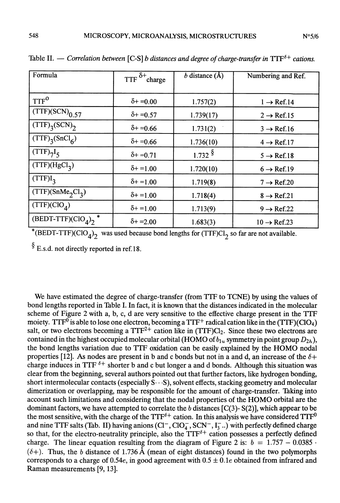| N°5/6 |
|-------|
|       |

| Formula                                   | TTF $\delta^+$ charge | b distance $(\AA)$    | Numbering and Ref.            |
|-------------------------------------------|-----------------------|-----------------------|-------------------------------|
|                                           |                       |                       |                               |
|                                           |                       |                       |                               |
| TTF <sup>o</sup>                          | $\delta$ + = 0.00     |                       |                               |
|                                           |                       | 1.757(2)              | $1 \rightarrow \text{Ref.14}$ |
| $(TTF)(SCN)_{0.57}$                       | $\delta$ + = 0.57     | 1.739(17)             |                               |
|                                           |                       |                       | $2 \rightarrow \text{Ref.15}$ |
| $(TTF)$ <sub>3</sub> (SCN) <sub>2</sub>   | $\delta$ + = 0.66     |                       |                               |
|                                           |                       | 1.731(2)              | $3 \rightarrow$ Ref.16        |
| $(TTF)_{3} (SnCl_{6})$                    |                       |                       |                               |
|                                           | $\delta$ + = 0.66     | 1.736(10)             | $4 \rightarrow \text{Ref.17}$ |
| $(TTF)_{7}I_{5}$                          |                       | $1.732$ $\frac{8}{3}$ |                               |
|                                           | $\delta$ + = 0.71     |                       | $5 \rightarrow \text{Ref.18}$ |
| (TTF)(HgCl <sub>3</sub> )                 |                       |                       |                               |
|                                           | $\delta$ + = 1.00     | 1.720(10)             | $6 \rightarrow \text{Ref.19}$ |
| $(TTF)I_2$                                |                       |                       |                               |
|                                           | $\delta$ + = 1.00     | 1.719(8)              | $7 \rightarrow$ Ref.20        |
| (TTF)(SnMe <sub>2</sub> Cl <sub>3</sub> ) |                       |                       |                               |
|                                           | $\delta$ + = 1.00     | 1.718(4)              | $8 \rightarrow$ Ref.21        |
| (TTF)(CIO <sub>A</sub> )                  |                       |                       |                               |
|                                           | $\delta$ + = 1.00     | 1.713(9)              | $9 \rightarrow \text{Ref.22}$ |
| $(BEDT-TTF)(ClO4)2$                       |                       |                       |                               |
|                                           | $\delta$ + = 2.00     | 1.683(3)              | $10 \rightarrow$ Ref.23       |
|                                           |                       |                       |                               |

Table II. - Correlation between [C-S] b distances and degree of charge-transfer in  $TTF^{\delta+}$  cations.

\*(BEDT-TTF)(ClO<sub>4</sub>)<sub>2</sub> was used because bond lengths for (TTF)Cl<sub>2</sub> so far are not available.

 $\S$  E.s.d. not directly reported in ref. 18.

We have estimated the degree of charge-transfer (from TTF to TCNE) by using the values of bond lengths reported in Table I. In fact, it is known that the distances indicated in the molecular scheme of Figure 2 with a, b, c, d are very sensitive to the effective charge present in the TTF moiety. TTF<sup>0</sup> is able to lose one electron, becoming a TTF<sup>+</sup> radical cation like in the (TTF)(ClO<sub>4</sub>) salt, or two electrons becoming a  $TTF^{2+}$  cation like in  $(TTF)Cl_2$ . Since these two electrons are contained in the highest occupied molecular orbital (HOMO of  $b_{1u}$  symmetry in point group  $D_{2h}$ ), the bond lengths variation due to TTF oxidation can be easily explained by the HOMO nodal properties [12]. As nodes are present in b and c bonds but not in a and d, an increase of the  $\delta$ + charge induces in TTF  $^{\delta+}$  shorter b and c but longer a and d bonds. Although this situation was clear from the beginning, several authors pointed out that further factors, like hydrogen bonding, short intermolecular contacts (especially  $S \cdot S$ ), solvent effects, stacking geometry and molecular dimerization or overlapping, may be responsible for the amount of charge-transfer. Taking into account such limitations and considering that the nodal properties of the HOMO orbital are the dominant factors, we have attempted to correlate the b distances  $[C(3)-S(2)]$ , which appear to be the most sensitive, with the charge of the  $TTF^{\delta+}$  cation. In this analysis we have considered  $TTF^0$ and nine TTF salts (Tab. II) having anions  $(Cl^-, ClO<sub>4</sub>^-, SCN^-, I<sub>3</sub>^-...)$  with perfectly defined charge so that, for the electro-neutrality principle, also the TTF<sup>8+</sup> cation possesses a perfectly defined charge. The linear equation resulting from the diagram of Figure 2 is:  $b = 1.757 - 0.0385$ .  $(\delta +)$ . Thus, the b distance of 1.736 Å (mean of eight distances) found in the two polymorphs corresponds to a charge of  $0.54e$ , in good agreement with  $0.5 \pm 0.1e$  obtained from infrared and Raman measurements [9, 13].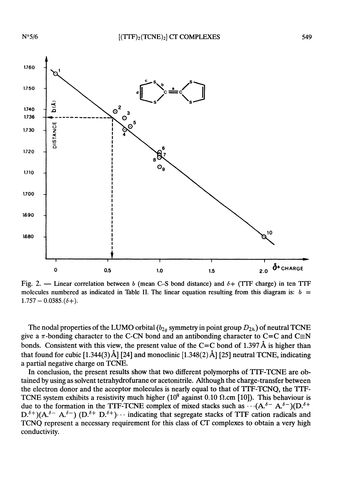

Fig. 2. - Linear correlation between b (mean C-S bond distance) and  $\delta$ + (TTF charge) in ten TTF molecules numbered as indicated in Table II. The linear equation resulting from this diagram is:  $b =$  $1.757 - 0.0385.$  $(\delta +)$ .

The nodal properties of the LUMO orbital ( $b_{2g}$  symmetry in point group  $D_{2h}$ ) of neutral TCNE give a  $\pi$ -bonding character to the C-CN bond and an antibonding character to C=C and C $\equiv$ N bonds. Consistent with this view, the present value of the C=C bond of 1.397 Å is higher than that found for cubic [1.344(3) Å] [24] and monoclinic [1.348(2) Å] [25] neutral TCNE, indicating a partial negative charge on TCNE.

In conclusion, the present results show that two different polymorphs of TTF-TCNE are obtained by using as solvent tetrahydrofurane or acetonitrile. Although the charge-transfer between the electron donor and the acceptor molecules is nearly equal to that of TTF-TCNQ, the TTF-TCNE system exhibits a resistivity much higher ( $10^9$  against 0.10  $\Omega$ .cm [10]). This behaviour is due to the formation in the TTF-TCNE complex of mixed stacks such as  $\cdots (A_{\cdot}^{\delta-} A_{\cdot}^{\delta-}) (D_{\cdot}^{\delta+} A_{\cdot}^{\delta-})$  $D^{\delta+}$ )( $A^{\delta-}$   $A^{\delta-}$ ) ( $D^{\delta+}$   $D^{\delta+}$ )... indicating that segregate stacks of TTF cation radicals and TCNQ represent a necessary requirement for this class of CT complexes to obtain a very high conductivity.